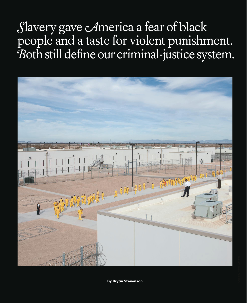*S*lavery gave *A*merica a fear of black people and a taste for violent punishment. Both still define our criminal-justice system.



By Bryan Stevenson